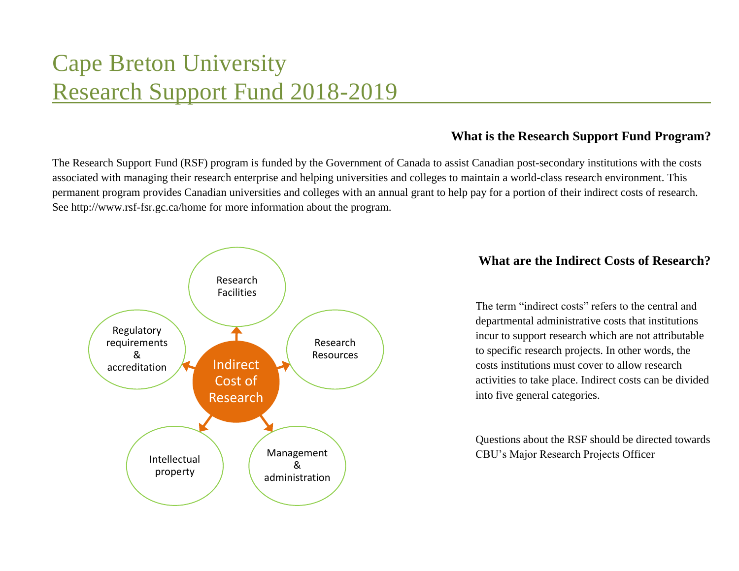# Cape Breton University Research Support Fund 2018-2019

# **What is the Research Support Fund Program?**

The Research Support Fund (RSF) program is funded by the Government of Canada to assist Canadian post-secondary institutions with the costs associated with managing their research enterprise and helping universities and colleges to maintain a world-class research environment. This permanent program provides Canadian universities and colleges with an annual grant to help pay for a portion of their indirect costs of research. See<http://www.rsf-fsr.gc.ca/home> for more information about the program.



# **What are the Indirect Costs of Research?**

The term "indirect costs" refers to the central and departmental administrative costs that institutions incur to support research which are not attributable to specific research projects. In other words, the costs institutions must cover to allow research activities to take place. Indirect costs can be divided into five general categories.

Questions about the RSF should be directed towards CBU's Major Research Projects Officer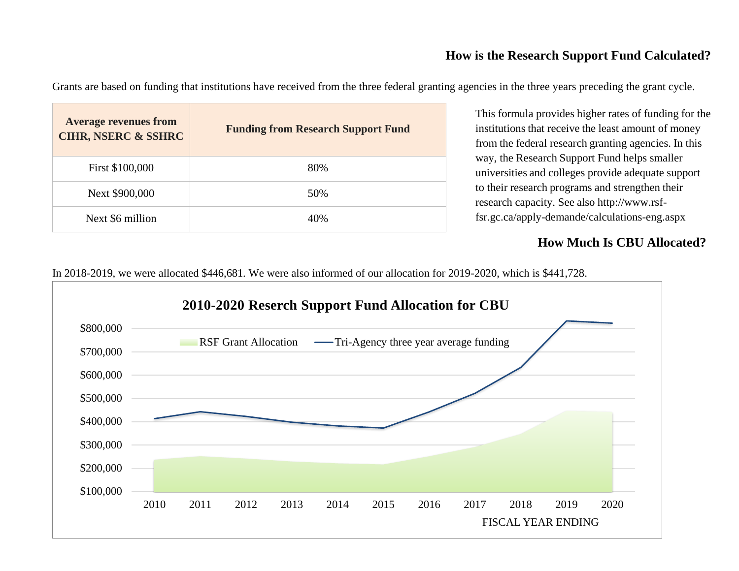# **How is the Research Support Fund Calculated?**

Grants are based on funding that institutions have received from the three federal granting agencies in the three years preceding the grant cycle.

| <b>Average revenues from</b><br><b>CIHR, NSERC &amp; SSHRC</b> | <b>Funding from Research Support Fund</b> |
|----------------------------------------------------------------|-------------------------------------------|
| First \$100,000                                                | 80%                                       |
| Next \$900,000                                                 | 50%                                       |
| Next \$6 million                                               | 40%                                       |

This formula provides higher rates of funding for the institutions that receive the least amount of money from the federal research granting agencies. In this way, the Research Support Fund helps smaller universities and colleges provide adequate support to their research programs and strengthen their research capacity. See also http://www.rsffsr.gc.ca/apply-demande/calculations-eng.aspx

# **How Much Is CBU Allocated?**

In 2018-2019, we were allocated \$446,681. We were also informed of our allocation for 2019-2020, which is \$441,728.